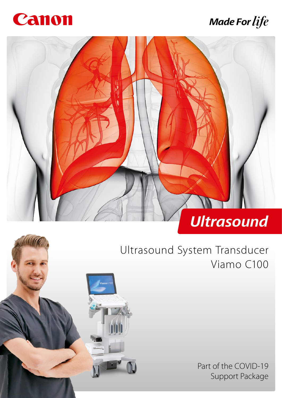

# **Made For life**



# Ultrasound System Transducer Viamo C100

Part of the COVID-19 Support Package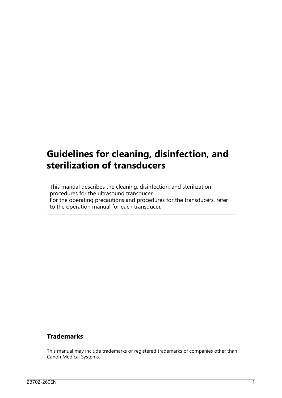## **Guidelines for cleaning, disinfection, and sterilization of transducers**

This manual describes the cleaning, disinfection, and sterilization procedures for the ultrasound transducer. For the operating precautions and procedures for the transducers, refer to the operation manual for each transducer.

#### **Trademarks**

This manual may include trademarks or registered trademarks of companies other than Canon Medical Systems.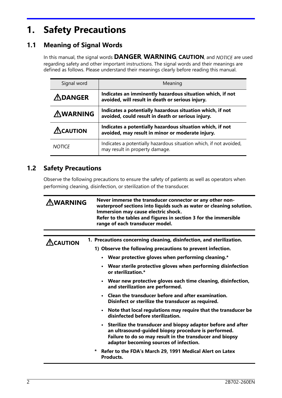## **1. Safety Precautions**

## **1.1 Meaning of Signal Words**

In this manual, the signal words **DANGER, WARNING, CAUTION**, and NOTICE are used regarding safety and other important instructions. The signal words and their meanings are defined as follows. Please understand their meanings clearly before reading this manual.

| Signal word             | Meaning                                                                                                        |
|-------------------------|----------------------------------------------------------------------------------------------------------------|
| $\bigtriangleup$ DANGER | Indicates an imminently hazardous situation which, if not<br>avoided, will result in death or serious injury.  |
| <b>AWARNING</b>         | Indicates a potentially hazardous situation which, if not<br>avoided, could result in death or serious injury. |
| $\triangle$ CAUTION     | Indicates a potentially hazardous situation which, if not<br>avoided, may result in minor or moderate injury.  |
| <b>NOTICE</b>           | Indicates a potentially hazardous situation which, if not avoided,<br>may result in property damage.           |

#### **1.2 Safety Precautions**

Observe the following precautions to ensure the safety of patients as well as operators when performing cleaning, disinfection, or sterilization of the transducer.

| <u>A</u> WARNING | Never immerse the transducer connector or any other non-<br>waterproof sections into liquids such as water or cleaning solution.<br>Immersion may cause electric shock.<br>Refer to the tables and figures in section 3 for the immersible<br>range of each transducer model. |  |  |  |  |
|------------------|-------------------------------------------------------------------------------------------------------------------------------------------------------------------------------------------------------------------------------------------------------------------------------|--|--|--|--|
|                  |                                                                                                                                                                                                                                                                               |  |  |  |  |
| <b>CAUTION</b>   | 1. Precautions concerning cleaning, disinfection, and sterilization.                                                                                                                                                                                                          |  |  |  |  |
|                  | 1) Observe the following precautions to prevent infection.                                                                                                                                                                                                                    |  |  |  |  |
|                  | • Wear protective gloves when performing cleaning.*                                                                                                                                                                                                                           |  |  |  |  |
|                  | • Wear sterile protective gloves when performing disinfection<br>or sterilization.*                                                                                                                                                                                           |  |  |  |  |
|                  | • Wear new protective gloves each time cleaning, disinfection,<br>and sterilization are performed.                                                                                                                                                                            |  |  |  |  |
|                  | • Clean the transducer before and after examination.<br>Disinfect or sterilize the transducer as required.                                                                                                                                                                    |  |  |  |  |
|                  | • Note that local regulations may require that the transducer be<br>disinfected before sterilization.                                                                                                                                                                         |  |  |  |  |
|                  | • Sterilize the transducer and biopsy adaptor before and after<br>an ultrasound-guided biopsy procedure is performed.<br>Failure to do so may result in the transducer and biopsy<br>adaptor becoming sources of infection.                                                   |  |  |  |  |
|                  | Refer to the FDA's March 29, 1991 Medical Alert on Latex<br>*<br>Products.                                                                                                                                                                                                    |  |  |  |  |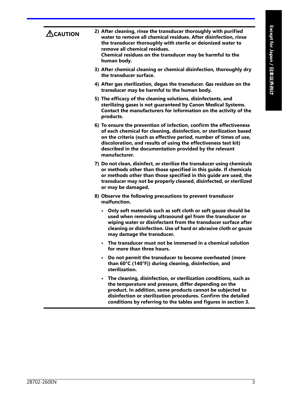| $\bigtriangleup$ CAUTION | 2) After cleaning, rinse the transducer thoroughly with purified<br>water to remove all chemical residues. After disinfection, rinse<br>the transducer thoroughly with sterile or deionized water to<br>remove all chemical residues.<br>Chemical residues on the transducer may be harmful to the<br>human body.                                               |
|--------------------------|-----------------------------------------------------------------------------------------------------------------------------------------------------------------------------------------------------------------------------------------------------------------------------------------------------------------------------------------------------------------|
|                          | 3) After chemical cleaning or chemical disinfection, thoroughly dry<br>the transducer surface.                                                                                                                                                                                                                                                                  |
|                          | 4) After gas sterilization, degas the transducer. Gas residues on the<br>transducer may be harmful to the human body.                                                                                                                                                                                                                                           |
|                          | 5) The efficacy of the cleaning solutions, disinfectants, and<br>sterilizing gases is not guaranteed by Canon Medical Systems.<br>Contact the manufacturers for information on the activity of the<br>products.                                                                                                                                                 |
|                          | 6) To ensure the prevention of infection, confirm the effectiveness<br>of each chemical for cleaning, disinfection, or sterilization based<br>on the criteria (such as effective period, number of times of use,<br>discoloration, and results of using the effectiveness test kit)<br>described in the documentation provided by the relevant<br>manufacturer. |
|                          | 7) Do not clean, disinfect, or sterilize the transducer using chemicals<br>or methods other than those specified in this guide. If chemicals<br>or methods other than those specified in this guide are used, the<br>transducer may not be properly cleaned, disinfected, or sterilized<br>or may be damaged.                                                   |
|                          | 8) Observe the following precautions to prevent transducer<br>malfunction.                                                                                                                                                                                                                                                                                      |
|                          | Only soft materials such as soft cloth or soft gauze should be<br>used when removing ultrasound gel from the transducer or<br>wiping water or disinfectant from the transducer surface after<br>cleaning or disinfection. Use of hard or abrasive cloth or gauze<br>may damage the transducer.                                                                  |
|                          | The transducer must not be immersed in a chemical solution<br>for more than three hours.                                                                                                                                                                                                                                                                        |
|                          | Do not permit the transducer to become overheated (more<br>than 60°C (140°F)) during cleaning, disinfection, and<br>sterilization.                                                                                                                                                                                                                              |
|                          | The cleaning, disinfection, or sterilization conditions, such as<br>the temperature and pressure, differ depending on the<br>product. In addition, some products cannot be subjected to<br>disinfection or sterilization procedures. Confirm the detailed<br>conditions by referring to the tables and figures in section 3.                                    |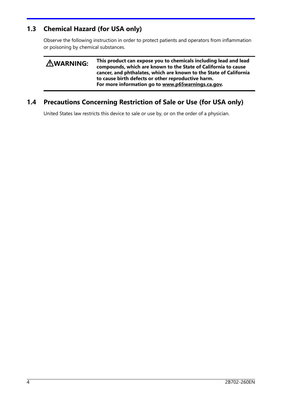### **1.3 Chemical Hazard (for USA only)**

Observe the following instruction in order to protect patients and operators from inflammation or poisoning by chemical substances.

| <b>AWARNING:</b> | This product can expose you to chemicals including lead and lead<br>compounds, which are known to the State of California to cause<br>cancer, and phthalates, which are known to the State of California<br>to cause birth defects or other reproductive harm.<br>For more information go to www.p65warnings.ca.gov. |
|------------------|----------------------------------------------------------------------------------------------------------------------------------------------------------------------------------------------------------------------------------------------------------------------------------------------------------------------|
|                  |                                                                                                                                                                                                                                                                                                                      |

## **1.4 Precautions Concerning Restriction of Sale or Use (for USA only)**

United States law restricts this device to sale or use by, or on the order of a physician.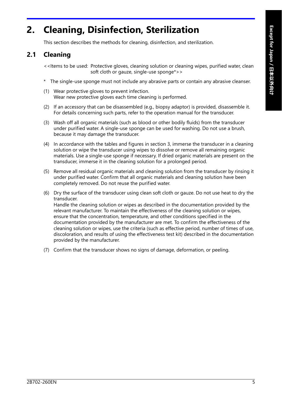## **2. Cleaning, Disinfection, Sterilization**

This section describes the methods for cleaning, disinfection, and sterilization.

#### **2.1 Cleaning**

<<Items to be used: Protective gloves, cleaning solution or cleaning wipes, purified water, clean soft cloth or gauze, single-use sponge\*>>

- \* The single-use sponge must not include any abrasive parts or contain any abrasive cleanser.
- (1) Wear protective gloves to prevent infection. Wear new protective gloves each time cleaning is performed.
- (2) If an accessory that can be disassembled (e.g., biopsy adaptor) is provided, disassemble it. For details concerning such parts, refer to the operation manual for the transducer.
- (3) Wash off all organic materials (such as blood or other bodily fluids) from the transducer under purified water. A single-use sponge can be used for washing. Do not use a brush, because it may damage the transducer.
- (4) In accordance with the tables and figures in section 3, immerse the transducer in a cleaning solution or wipe the transducer using wipes to dissolve or remove all remaining organic materials. Use a single-use sponge if necessary. If dried organic materials are present on the transducer, immerse it in the cleaning solution for a prolonged period.
- (5) Remove all residual organic materials and cleaning solution from the transducer by rinsing it under purified water. Confirm that all organic materials and cleaning solution have been completely removed. Do not reuse the purified water.
- (6) Dry the surface of the transducer using clean soft cloth or gauze. Do not use heat to dry the transducer. Handle the cleaning solution or wipes as described in the documentation provided by the relevant manufacturer. To maintain the effectiveness of the cleaning solution or wipes, ensure that the concentration, temperature, and other conditions specified in the documentation provided by the manufacturer are met. To confirm the effectiveness of the cleaning solution or wipes, use the criteria (such as effective period, number of times of use, discoloration, and results of using the effectiveness test kit) described in the documentation provided by the manufacturer.
- (7) Confirm that the transducer shows no signs of damage, deformation, or peeling.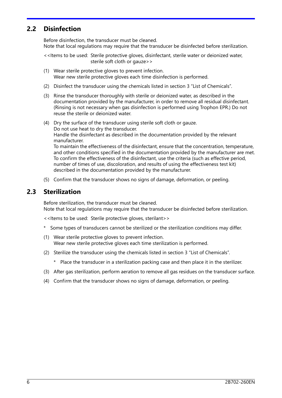#### **2.2 Disinfection**

Before disinfection, the transducer must be cleaned. Note that local regulations may require that the transducer be disinfected before sterilization.

<<Items to be used: Sterile protective gloves, disinfectant, sterile water or deionized water, sterile soft cloth or gauze>>

- (1) Wear sterile protective gloves to prevent infection. Wear new sterile protective gloves each time disinfection is performed.
- (2) Disinfect the transducer using the chemicals listed in section 3 "List of Chemicals".
- (3) Rinse the transducer thoroughly with sterile or deionized water, as described in the documentation provided by the manufacturer, in order to remove all residual disinfectant. (Rinsing is not necessary when gas disinfection is performed using Trophon EPR.) Do not reuse the sterile or deionized water.
- (4) Dry the surface of the transducer using sterile soft cloth or gauze. Do not use heat to dry the transducer. Handle the disinfectant as described in the documentation provided by the relevant manufacturer. To maintain the effectiveness of the disinfectant, ensure that the concentration, temperature, and other conditions specified in the documentation provided by the manufacturer are met.

To confirm the effectiveness of the disinfectant, use the criteria (such as effective period, number of times of use, discoloration, and results of using the effectiveness test kit) described in the documentation provided by the manufacturer.

(5) Confirm that the transducer shows no signs of damage, deformation, or peeling.

#### **2.3 Sterilization**

Before sterilization, the transducer must be cleaned. Note that local regulations may require that the transducer be disinfected before sterilization.

<<Items to be used: Sterile protective gloves, sterilant>>

- \* Some types of transducers cannot be sterilized or the sterilization conditions may differ.
- (1) Wear sterile protective gloves to prevent infection. Wear new sterile protective gloves each time sterilization is performed.
- (2) Sterilize the transducer using the chemicals listed in section 3 "List of Chemicals".
	- \* Place the transducer in a sterilization packing case and then place it in the sterilizer.
- (3) After gas sterilization, perform aeration to remove all gas residues on the transducer surface.
- (4) Confirm that the transducer shows no signs of damage, deformation, or peeling.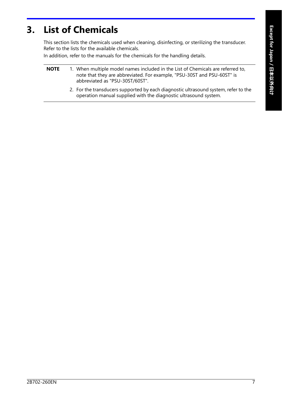## **3. List of Chemicals**

This section lists the chemicals used when cleaning, disinfecting, or sterilizing the transducer. Refer to the lists for the available chemicals.

In addition, refer to the manuals for the chemicals for the handling details.

| NOTE | 1. When multiple model names included in the List of Chemicals are referred to, |
|------|---------------------------------------------------------------------------------|
|      | note that they are abbreviated. For example, "PSU-30ST and PSU-60ST" is         |
|      | abbreviated as "PSU-30ST/60ST".                                                 |

2. For the transducers supported by each diagnostic ultrasound system, refer to the operation manual supplied with the diagnostic ultrasound system.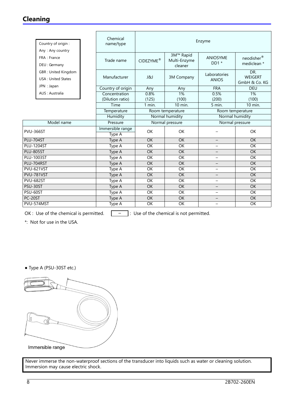#### **Cleaning**

| 3M™ Rapid<br>FRA : France<br><b>ANIOSYME</b><br>Multi-Enzyme<br>Trade name<br>CIDEZYME®<br>$DD1*$<br>DEU : Germany<br>cleaner<br><b>GBR: United Kingdom</b><br>DR.<br>Laboratories<br>Manufacturer<br><b>J&amp;J</b><br>3M Company<br><b>USA: United States</b><br><b>ANIOS</b><br>JPN : Japan<br>Country of origin<br><b>FRA</b><br><b>DEU</b><br>Any<br>Any<br>AUS: Australia<br>Concentration<br>0.8%<br>1%<br>0.5%<br>1%<br>(200)<br>(Dilution ratio)<br>(125)<br>(100)<br>(100)<br>$10$ min.<br>1 min.<br>5 min.<br>Time<br>Temperature<br>Room temperature<br>Room temperature<br>Normal humidity<br>Normal humidity<br>Humidity<br>Model name<br>Pressure<br>Normal pressure<br>Normal pressure<br>Immersible range<br>OK<br>OK<br><b>OK</b><br>Type A<br>$\overline{OK}$<br>OK<br>OK<br>Type A<br>$\overline{\phantom{0}}$<br>OK<br>OK<br>OK<br>Type A<br>Ξ.<br>$\overline{OK}$<br>OK<br>Type A<br>OK<br>—<br>OK<br>OK<br><b>OK</b><br>Type A<br>-<br>$\overline{OK}$<br><b>OK</b><br><b>OK</b><br>Type A<br>—<br>$\overline{OK}$<br>OK<br>OK<br>Type A<br>—<br><b>OK</b><br>OK<br><b>OK</b><br>Type A<br>-<br>OK<br>OK<br>OK<br>Type $\overline{A}$<br>$\overline{\phantom{0}}$<br>$\overline{OK}$<br>$\overline{OK}$<br>$\overline{OK}$<br>Type A<br>$-$<br>$\overline{OK}$<br>$\overline{OK}$<br>$\overline{OK}$<br>Type A<br>$\overline{\phantom{0}}$ | Country of origin :<br>Any: Any country | Chemical<br>name/type | Enzyme    |                 |   |                                 |  |
|-------------------------------------------------------------------------------------------------------------------------------------------------------------------------------------------------------------------------------------------------------------------------------------------------------------------------------------------------------------------------------------------------------------------------------------------------------------------------------------------------------------------------------------------------------------------------------------------------------------------------------------------------------------------------------------------------------------------------------------------------------------------------------------------------------------------------------------------------------------------------------------------------------------------------------------------------------------------------------------------------------------------------------------------------------------------------------------------------------------------------------------------------------------------------------------------------------------------------------------------------------------------------------------------------------------------------------------------------------------------|-----------------------------------------|-----------------------|-----------|-----------------|---|---------------------------------|--|
| <b>PVU-366ST</b><br><b>PLU-704ST</b><br><b>PLU-1204ST</b><br><b>PLU-805ST</b><br><b>PLU-1003ST</b><br>PLU-704RST<br>$\overline{\mathsf{PVU}}$ -621VST<br>PVU-781VST<br><b>PVU-682ST</b><br>PSU-30ST<br>PSU-60ST                                                                                                                                                                                                                                                                                                                                                                                                                                                                                                                                                                                                                                                                                                                                                                                                                                                                                                                                                                                                                                                                                                                                                   |                                         |                       |           |                 |   | neodisher®<br>mediclean *       |  |
|                                                                                                                                                                                                                                                                                                                                                                                                                                                                                                                                                                                                                                                                                                                                                                                                                                                                                                                                                                                                                                                                                                                                                                                                                                                                                                                                                                   |                                         |                       |           |                 |   | <b>WEIGERT</b><br>GmbH & Co. KG |  |
|                                                                                                                                                                                                                                                                                                                                                                                                                                                                                                                                                                                                                                                                                                                                                                                                                                                                                                                                                                                                                                                                                                                                                                                                                                                                                                                                                                   |                                         |                       |           |                 |   |                                 |  |
|                                                                                                                                                                                                                                                                                                                                                                                                                                                                                                                                                                                                                                                                                                                                                                                                                                                                                                                                                                                                                                                                                                                                                                                                                                                                                                                                                                   |                                         |                       |           |                 |   |                                 |  |
|                                                                                                                                                                                                                                                                                                                                                                                                                                                                                                                                                                                                                                                                                                                                                                                                                                                                                                                                                                                                                                                                                                                                                                                                                                                                                                                                                                   |                                         |                       |           |                 |   | $10$ min.                       |  |
|                                                                                                                                                                                                                                                                                                                                                                                                                                                                                                                                                                                                                                                                                                                                                                                                                                                                                                                                                                                                                                                                                                                                                                                                                                                                                                                                                                   |                                         |                       |           |                 |   |                                 |  |
|                                                                                                                                                                                                                                                                                                                                                                                                                                                                                                                                                                                                                                                                                                                                                                                                                                                                                                                                                                                                                                                                                                                                                                                                                                                                                                                                                                   |                                         |                       |           |                 |   |                                 |  |
|                                                                                                                                                                                                                                                                                                                                                                                                                                                                                                                                                                                                                                                                                                                                                                                                                                                                                                                                                                                                                                                                                                                                                                                                                                                                                                                                                                   |                                         |                       |           |                 |   |                                 |  |
|                                                                                                                                                                                                                                                                                                                                                                                                                                                                                                                                                                                                                                                                                                                                                                                                                                                                                                                                                                                                                                                                                                                                                                                                                                                                                                                                                                   |                                         |                       |           |                 |   |                                 |  |
|                                                                                                                                                                                                                                                                                                                                                                                                                                                                                                                                                                                                                                                                                                                                                                                                                                                                                                                                                                                                                                                                                                                                                                                                                                                                                                                                                                   |                                         |                       |           |                 |   |                                 |  |
|                                                                                                                                                                                                                                                                                                                                                                                                                                                                                                                                                                                                                                                                                                                                                                                                                                                                                                                                                                                                                                                                                                                                                                                                                                                                                                                                                                   |                                         |                       |           |                 |   |                                 |  |
|                                                                                                                                                                                                                                                                                                                                                                                                                                                                                                                                                                                                                                                                                                                                                                                                                                                                                                                                                                                                                                                                                                                                                                                                                                                                                                                                                                   |                                         |                       |           |                 |   |                                 |  |
|                                                                                                                                                                                                                                                                                                                                                                                                                                                                                                                                                                                                                                                                                                                                                                                                                                                                                                                                                                                                                                                                                                                                                                                                                                                                                                                                                                   |                                         |                       |           |                 |   |                                 |  |
|                                                                                                                                                                                                                                                                                                                                                                                                                                                                                                                                                                                                                                                                                                                                                                                                                                                                                                                                                                                                                                                                                                                                                                                                                                                                                                                                                                   |                                         |                       |           |                 |   |                                 |  |
|                                                                                                                                                                                                                                                                                                                                                                                                                                                                                                                                                                                                                                                                                                                                                                                                                                                                                                                                                                                                                                                                                                                                                                                                                                                                                                                                                                   |                                         |                       |           |                 |   |                                 |  |
|                                                                                                                                                                                                                                                                                                                                                                                                                                                                                                                                                                                                                                                                                                                                                                                                                                                                                                                                                                                                                                                                                                                                                                                                                                                                                                                                                                   |                                         |                       |           |                 |   |                                 |  |
|                                                                                                                                                                                                                                                                                                                                                                                                                                                                                                                                                                                                                                                                                                                                                                                                                                                                                                                                                                                                                                                                                                                                                                                                                                                                                                                                                                   |                                         |                       |           |                 |   |                                 |  |
|                                                                                                                                                                                                                                                                                                                                                                                                                                                                                                                                                                                                                                                                                                                                                                                                                                                                                                                                                                                                                                                                                                                                                                                                                                                                                                                                                                   |                                         |                       |           |                 |   |                                 |  |
|                                                                                                                                                                                                                                                                                                                                                                                                                                                                                                                                                                                                                                                                                                                                                                                                                                                                                                                                                                                                                                                                                                                                                                                                                                                                                                                                                                   |                                         |                       |           |                 |   |                                 |  |
|                                                                                                                                                                                                                                                                                                                                                                                                                                                                                                                                                                                                                                                                                                                                                                                                                                                                                                                                                                                                                                                                                                                                                                                                                                                                                                                                                                   | PC-20ST                                 | Type A                | <b>OK</b> | $\overline{OK}$ | — | <b>OK</b>                       |  |
| PVU-574MST<br>OK<br>OK<br>OK<br>Type A<br>—                                                                                                                                                                                                                                                                                                                                                                                                                                                                                                                                                                                                                                                                                                                                                                                                                                                                                                                                                                                                                                                                                                                                                                                                                                                                                                                       |                                         |                       |           |                 |   |                                 |  |

OK : Use of the chemical is permitted.  $\boxed{\phantom{a}^- \phantom{a}}$  : Use of the chemical is not permitted.

\*: Not for use in the USA.

● Type A (PSU-30ST etc.)



Immersible range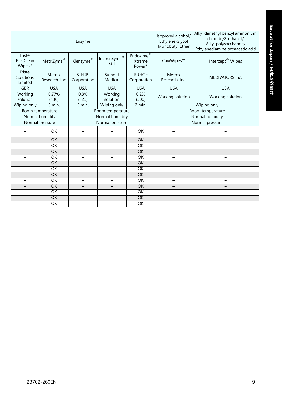|                                      | Enzyme                   |                              |                                                 |                                                   |                                                      | Alkyl dimethyl benzyl ammonium<br>chloride/2-ethanol/<br>Alkyl polysaccharide/<br>Ethylenediamine tetraacetic acid |  |
|--------------------------------------|--------------------------|------------------------------|-------------------------------------------------|---------------------------------------------------|------------------------------------------------------|--------------------------------------------------------------------------------------------------------------------|--|
| Tristel<br>Pre-Clean<br>Wipes *      | MetriZyme®               | Klenzyme®                    | ${\sf Instru\text{-}Zyme}^{\circledast}$<br>Gel | $\mathsf{Endozime}^\circledR$<br>Xtreme<br>Power* | CaviWipes™                                           | Intercept <sup>®</sup> Wipes                                                                                       |  |
| Tristel<br>Solutions<br>Limited      | Metrex<br>Research, Inc. | <b>STERIS</b><br>Corporation | Summit<br>Medical                               | <b>RUHOF</b><br>Corporation                       | Metrex<br>Research, Inc.                             | <b>MEDIVATORS Inc.</b>                                                                                             |  |
| <b>GBR</b>                           | <b>USA</b>               | <b>USA</b>                   | <b>USA</b>                                      | <b>USA</b>                                        | <b>USA</b>                                           | <b>USA</b>                                                                                                         |  |
| Working<br>solution                  | 0.77%<br>(130)           | 0.8%<br>(125)                | Working<br>solution                             | 0.2%<br>(500)                                     | Working solution<br>Working solution                 |                                                                                                                    |  |
| Wiping only                          | 5 min.                   | 5 min.                       | Wiping only                                     | 2 min.                                            | Wiping only                                          |                                                                                                                    |  |
| Room temperature<br>Room temperature |                          |                              |                                                 | Room temperature                                  |                                                      |                                                                                                                    |  |
| Normal humidity<br>Normal humidity   |                          |                              |                                                 | Normal humidity                                   |                                                      |                                                                                                                    |  |
|                                      | Normal pressure          |                              | Normal pressure                                 |                                                   |                                                      | Normal pressure                                                                                                    |  |
|                                      | OK                       |                              |                                                 | <b>OK</b>                                         |                                                      |                                                                                                                    |  |
|                                      | OK                       |                              |                                                 | $\overline{OK}$                                   |                                                      |                                                                                                                    |  |
| -                                    | OK                       | —                            | $\overline{\phantom{0}}$                        | OK                                                | $\overline{\phantom{0}}$                             | $\overline{\phantom{0}}$                                                                                           |  |
|                                      | OK                       |                              |                                                 | $\overline{OK}$                                   |                                                      |                                                                                                                    |  |
| $\qquad \qquad -$                    | $\overline{OK}$          | $\overline{\phantom{0}}$     | $\overline{\phantom{0}}$                        | $\overline{OK}$                                   | $\equiv$                                             | $\equiv$                                                                                                           |  |
| —                                    | OK                       | $\overline{\phantom{0}}$     | $\overline{\phantom{m}}$                        | <b>OK</b>                                         | -                                                    | $\overline{\phantom{0}}$                                                                                           |  |
|                                      | OK                       |                              |                                                 | $\overline{OK}$                                   | $\overline{\phantom{0}}$<br>$\overline{\phantom{0}}$ |                                                                                                                    |  |
| $\overline{\phantom{0}}$             | OK                       |                              |                                                 | OK                                                | $\overline{\phantom{0}}$                             |                                                                                                                    |  |
| $\overline{\phantom{0}}$             | $\overline{OK}$          | $\qquad \qquad -$            | $\overline{\phantom{0}}$                        | $\overline{OK}$                                   | $\overline{\phantom{0}}$                             | $\overline{\phantom{0}}$                                                                                           |  |
| $\equiv$                             | OK                       | $\overline{\phantom{0}}$     |                                                 | $\overline{OK}$                                   | $\overline{\phantom{0}}$                             | $\overline{\phantom{0}}$                                                                                           |  |
| $\qquad \qquad -$                    | OK                       | $\overline{\phantom{0}}$     | $\overline{\phantom{0}}$                        | $\overline{OK}$                                   | $\overline{\phantom{0}}$                             | $\overline{\phantom{0}}$                                                                                           |  |
| $\overline{\phantom{0}}$             | OK                       | $\overline{\phantom{0}}$     | $\overline{\phantom{0}}$                        | $\overline{OK}$                                   | $\overline{\phantom{0}}$                             | $-$                                                                                                                |  |
| -                                    | OK                       |                              |                                                 | $\overline{OK}$                                   | -                                                    |                                                                                                                    |  |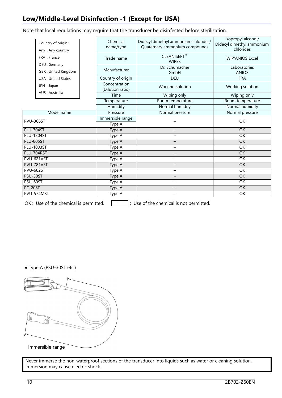## **Low/Middle-Level Disinfection -1 (Except for USA)**

Note that local regulations may require that the transducer be disinfected before sterilization.

| Country of origin :<br>Any: Any country<br>FRA : France |                                             | Chemical<br>name/type             | Didecyl dimethyl ammonium chlorides/<br>Quaternary ammonium compounds | Isopropyl alcohol/<br>Didecyl dimethyl ammonium<br>chlorides |  |
|---------------------------------------------------------|---------------------------------------------|-----------------------------------|-----------------------------------------------------------------------|--------------------------------------------------------------|--|
|                                                         |                                             | Trade name                        | <b>CLEANISEPT®</b><br><b>WIPES</b>                                    |                                                              |  |
|                                                         | DEU : Germany<br><b>GBR: United Kingdom</b> | Manufacturer                      | Dr. Schumacher<br>GmbH                                                |                                                              |  |
|                                                         | <b>USA: United States</b>                   | Country of origin                 | <b>DEU</b>                                                            | <b>FRA</b>                                                   |  |
|                                                         | JPN : Japan                                 | Concentration<br>(Dilution ratio) | Working solution                                                      | Working solution                                             |  |
|                                                         | AUS: Australia                              | Time                              | Wiping only                                                           | Wiping only                                                  |  |
|                                                         |                                             | Temperature                       | Room temperature                                                      | Room temperature                                             |  |
|                                                         |                                             | Humidity                          | Normal humidity                                                       | Normal humidity                                              |  |
|                                                         | Model name                                  | Pressure                          | Normal pressure                                                       | Normal pressure                                              |  |
| PVU-366ST                                               |                                             | Immersible range<br>Type A        |                                                                       | OK                                                           |  |
| <b>PLU-704ST</b>                                        |                                             | Type A                            | $\qquad \qquad -$                                                     | <b>OK</b>                                                    |  |
|                                                         | <b>PLU-1204ST</b>                           | Type A                            | $\equiv$                                                              | OK                                                           |  |
| <b>PLU-805ST</b>                                        |                                             | Type A                            |                                                                       | $\overline{OK}$                                              |  |
|                                                         | <b>PLU-1003ST</b>                           | Type A                            | $\overline{\phantom{0}}$                                              | OK                                                           |  |
|                                                         | PLU-704RST                                  | Type A                            | $\overline{\phantom{0}}$                                              | OK                                                           |  |
|                                                         | <b>PVU-621VST</b>                           | Type $\overline{A}$               | $\overline{\phantom{0}}$                                              | <b>OK</b>                                                    |  |
| PVU-781VST                                              |                                             | Type A                            | $\qquad \qquad -$                                                     | <b>OK</b>                                                    |  |
| <b>PVU-682ST</b>                                        |                                             | Type A                            | $\overline{\phantom{0}}$                                              | OK                                                           |  |
| PSU-30ST                                                |                                             | Type A                            | $\overline{\phantom{0}}$                                              | <b>OK</b>                                                    |  |
| PSU-60ST                                                |                                             | Type A                            | $\overline{\phantom{0}}$                                              | OK                                                           |  |
| PC-20ST                                                 |                                             | Type A                            |                                                                       | $\overline{OK}$                                              |  |
|                                                         | PVU-574MST                                  | Type A                            | $\overline{\phantom{0}}$                                              | OK                                                           |  |
|                                                         |                                             |                                   |                                                                       |                                                              |  |

OK : Use of the chemical is permitted.  $\boxed{\phantom{a}^- \phantom{a}}$  : Use of the chemical is not permitted.

● Type A (PSU-30ST etc.)

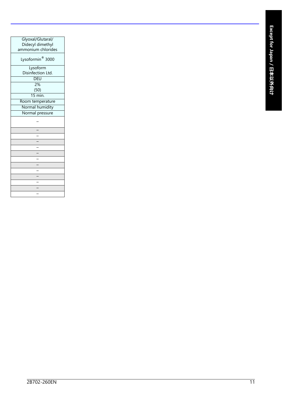| Glyoxal/Glutaral/  |
|--------------------|
| Didecyl dimethyl   |
| ammonium chlorides |
| Lysoformin® 3000   |
| Lysoform           |
| Disinfection Ltd.  |
| DEU                |
| 2%                 |
| (50)               |
| 15 min.            |
| Room temperature   |
| Normal humidity    |
| Normal pressure    |
|                    |
|                    |
|                    |
|                    |
|                    |
|                    |
|                    |
|                    |
|                    |
|                    |
|                    |
|                    |
|                    |
|                    |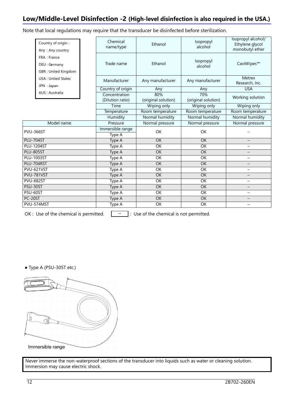#### **Low/Middle-Level Disinfection -2 (High-level disinfection is also required in the USA.)**

Note that local regulations may require that the transducer be disinfected before sterilization.

| Country of origin :<br>Any: Any country              | Chemical<br>name/type                   | Ethanol                    | Isopropyl<br>alcohol       | Isopropyl alcohol/<br>Ethylene glycol<br>monobutyl ether |
|------------------------------------------------------|-----------------------------------------|----------------------------|----------------------------|----------------------------------------------------------|
| FRA : France<br>DEU : Germany<br>GBR: United Kingdom | Trade name                              | Ethanol                    | Isopropyl<br>alcohol       | CaviWipes™                                               |
| <b>USA: United States</b><br>JPN : Japan             | Manufacturer                            | Any manufacturer           | Any manufacturer           | Metrex<br>Research, Inc.                                 |
|                                                      | Country of origin                       | Any                        | Any                        | <b>USA</b>                                               |
| AUS: Australia                                       | Concentration<br>(Dilution ratio)       | 80%<br>(original solution) | 70%<br>(original solution) | Working solution                                         |
|                                                      | Time                                    | Wiping only                | Wiping only                | Wiping only                                              |
|                                                      | Temperature                             | Room temperature           | Room temperature           | Room temperature                                         |
|                                                      | Humidity                                | Normal humidity            | Normal humidity            | Normal humidity                                          |
| Model name                                           | Pressure                                | Normal pressure            | Normal pressure            | Normal pressure                                          |
| <b>PVU-366ST</b>                                     | Immersible range<br>Type $\overline{A}$ | OK                         | OK                         |                                                          |
| PLU-704ST                                            | Type A                                  | <b>OK</b>                  | OK                         |                                                          |
| <b>PLU-1204ST</b>                                    | Type A                                  | OK                         | OK                         |                                                          |
| <b>PLU-805ST</b>                                     | Type A                                  | OK                         | OK                         |                                                          |
| <b>PLU-1003ST</b>                                    | Type A                                  | OK                         | OK                         |                                                          |
| PLU-704RST                                           | Type A                                  | <b>OK</b>                  | <b>OK</b>                  |                                                          |
| <b>PVU-621VST</b>                                    | Type A                                  | $\overline{OK}$            | $\overline{OK}$            | $\overline{\phantom{0}}$                                 |
| PVU-781VST                                           | Type A                                  | <b>OK</b>                  | OK                         |                                                          |
| <b>PVU-682ST</b>                                     | Type A                                  | OK                         | OK                         | $\overline{\phantom{0}}$                                 |
| PSU-30ST                                             | Type A                                  | OK                         | OK                         |                                                          |
| PSU-60ST                                             | Type A                                  | OK                         | $\overline{OK}$            | $\overline{\phantom{0}}$                                 |
| PC-20ST                                              | Type A                                  | $\overline{OK}$            | $\overline{OK}$            |                                                          |
| PVU-574MST                                           | Type A                                  | OK                         | OK                         |                                                          |

OK : Use of the chemical is permitted.  $\boxed{\phantom{a}^- \phantom{a}}$  : Use of the chemical is not permitted.

● Type A (PSU-30ST etc.)

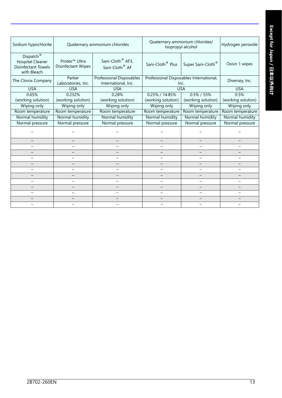| Sodium hypochlorite                                                                           | Quaternary ammonium chlorides/<br>Quaternary ammonium chlorides<br>Isopropyl alcohol |                                                            | Hydrogen peroxide            |                                                 |                          |
|-----------------------------------------------------------------------------------------------|--------------------------------------------------------------------------------------|------------------------------------------------------------|------------------------------|-------------------------------------------------|--------------------------|
| Dispatch <sup>®</sup><br><b>Hospital Cleaner</b><br><b>Disinfectant Towels</b><br>with Bleach | Protex <sup>™</sup> Ultra<br>Disinfectant Wipes                                      | Sani-Cloth <sup>®</sup> AF3,<br>Sani-Cloth <sup>®</sup> AF | Sani-Cloth <sup>®</sup> Plus | Super Sani-Cloth <sup>®</sup>                   | Oxivir 1 wipes           |
| The Clorox Company                                                                            | Parker<br>Laboratories, Inc.                                                         | <b>Professional Disposables</b><br>International, Inc.     |                              | Professional Disposables International,<br>Inc. | Diversey, Inc.           |
| <b>USA</b>                                                                                    | <b>USA</b>                                                                           | <b>USA</b>                                                 |                              | <b>USA</b>                                      | <b>USA</b>               |
| 0.65%                                                                                         | 0.232%                                                                               | 0.28%                                                      | 0.25% / 14.85%               | $0.5\% / 55\%$                                  | 0.5%                     |
| (working solution)                                                                            | (working solution)                                                                   | (working solution)                                         | (working solution)           | (working solution)                              | (working solution)       |
| Wiping only                                                                                   | Wiping only                                                                          | Wiping only                                                | Wiping only                  | Wiping only                                     | Wiping only              |
| Room temperature                                                                              | Room temperature                                                                     | Room temperature                                           | Room temperature             | Room temperature                                | Room temperature         |
| Normal humidity                                                                               | Normal humidity                                                                      | Normal humidity                                            | Normal humidity              | Normal humidity                                 | Normal humidity          |
| Normal pressure                                                                               | Normal pressure                                                                      | Normal pressure                                            | Normal pressure              | Normal pressure                                 | Normal pressure          |
|                                                                                               |                                                                                      |                                                            |                              |                                                 |                          |
| $\equiv$                                                                                      |                                                                                      |                                                            |                              |                                                 |                          |
| $\overline{\phantom{0}}$                                                                      |                                                                                      | $\overline{\phantom{0}}$                                   | $\overline{\phantom{0}}$     | $\overline{\phantom{0}}$                        | $\overline{\phantom{0}}$ |
| $\overline{\phantom{0}}$                                                                      |                                                                                      |                                                            |                              |                                                 |                          |
| —                                                                                             |                                                                                      | $\overline{\phantom{0}}$                                   | $\overline{\phantom{0}}$     | $\overline{\phantom{0}}$                        | $\overline{\phantom{0}}$ |
|                                                                                               |                                                                                      |                                                            |                              |                                                 |                          |
| $\qquad \qquad -$                                                                             | —                                                                                    | $\overline{\phantom{0}}$                                   | $\overline{\phantom{0}}$     | $\overline{\phantom{0}}$                        | -                        |
| $\overline{\phantom{0}}$                                                                      |                                                                                      |                                                            |                              |                                                 |                          |
| -                                                                                             |                                                                                      | -                                                          | $\overline{\phantom{0}}$     | $\overline{\phantom{0}}$                        | Ξ.                       |
| -                                                                                             |                                                                                      |                                                            |                              | $\overline{\phantom{0}}$                        | $\overline{\phantom{0}}$ |
| $\qquad \qquad -$                                                                             | -                                                                                    | $\overline{\phantom{0}}$                                   | —                            | $\overline{\phantom{0}}$                        | $\overline{\phantom{0}}$ |
| $\qquad \qquad -$                                                                             | $\overline{\phantom{0}}$                                                             | $\overline{\phantom{0}}$                                   | -                            | $\overline{\phantom{0}}$                        | $-$                      |
|                                                                                               |                                                                                      |                                                            |                              |                                                 |                          |
|                                                                                               |                                                                                      |                                                            |                              |                                                 |                          |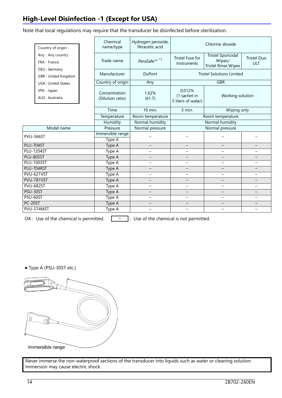## **High-Level Disinfection -1 (Except for USA)**

Note that local regulations may require that the transducer be disinfected before sterilization.

| Country of origin:                          | Chemical<br>name/type             | Hydrogen peroxide,<br>Peracetic acid | Chlorine dioxide                             |                                                                   |                           |
|---------------------------------------------|-----------------------------------|--------------------------------------|----------------------------------------------|-------------------------------------------------------------------|---------------------------|
| Any: Any country<br>FRA : France            | Trade name                        | PeraSafe <sup>™ *1</sup>             | Tristel Fuse for<br>Instruments              | <b>Tristel Sporicidal</b><br>Wipes/<br><b>Tristel Rinse Wipes</b> | <b>Tristel Duo</b><br>ULT |
| DEU : Germany<br><b>GBR: United Kingdom</b> | Manufacturer                      | <b>DuPont</b>                        | <b>Tristel Solutions Limited</b>             |                                                                   |                           |
| <b>USA: United States</b>                   | Country of origin                 | Any                                  |                                              | <b>GBR</b>                                                        |                           |
| JPN : Japan<br>AUS: Australia               | Concentration<br>(Dilution ratio) | 1.62%<br>(61.7)                      | 0.012%<br>(1 sachet in<br>5 liters of water) | Working solution                                                  |                           |
|                                             | Time                              | 10 min.                              | 5 min.                                       | Wiping only                                                       |                           |
|                                             | Temperature                       | Room temperature                     | Room temperature                             |                                                                   |                           |
|                                             | Humidity                          | Normal humidity                      | Normal humidity                              |                                                                   |                           |
| Model name                                  | Pressure                          | Normal pressure                      | Normal pressure                              |                                                                   |                           |
| <b>PVU-366ST</b>                            | Immersible range<br>Type A        |                                      |                                              |                                                                   |                           |
| <b>PLU-704ST</b>                            | Type A                            |                                      |                                              |                                                                   |                           |
| <b>PLU-1204ST</b>                           | Type A                            | $\overline{\phantom{0}}$             | $\overline{\phantom{0}}$                     |                                                                   | -                         |
| <b>PLU-805ST</b>                            | Type A                            |                                      | $\overline{\phantom{0}}$                     |                                                                   |                           |
| <b>PLU-1003ST</b>                           | Type A                            | $\qquad \qquad -$                    | $\overline{\phantom{0}}$                     |                                                                   | -                         |
| PLU-704RST                                  | Type A                            |                                      |                                              |                                                                   |                           |
| PVU-621VST                                  | Type A                            | $\overline{\phantom{0}}$             | $\overline{\phantom{0}}$                     | $\overline{\phantom{0}}$                                          | -                         |
| PVU-781VST                                  | Type A                            | $\overline{\phantom{0}}$             | $\qquad \qquad -$                            |                                                                   |                           |
| <b>PVU-682ST</b>                            | Type A                            |                                      |                                              |                                                                   |                           |
| PSU-30ST                                    | Type A                            | $\overline{\phantom{0}}$             |                                              |                                                                   |                           |
| PSU-60ST                                    | Type A                            | $\overline{\phantom{0}}$             | $\overline{\phantom{0}}$                     |                                                                   |                           |
| PC-20ST                                     | Type A                            | $\overline{\phantom{0}}$             |                                              | $\qquad \qquad -$                                                 | $\qquad \qquad -$         |
| PVU-574MST                                  | Type A                            | $\overline{\phantom{0}}$             |                                              | $\overline{\phantom{0}}$                                          | $\overline{\phantom{0}}$  |

OK : Use of the chemical is permitted.  $\boxed{\phantom{a}^- \phantom{a}}$  : Use of the chemical is not permitted.

● Type A (PSU-30ST etc.)

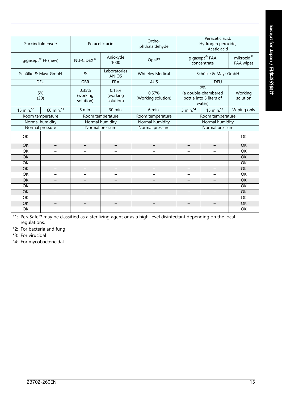| Succindialdehyde               |                          | Peracetic acid                 |                                | Ortho-<br>phthalaldehyde                                           | Peracetic acid,<br>Hydrogen peroxide,<br>Acetic acid           |                          |                        |
|--------------------------------|--------------------------|--------------------------------|--------------------------------|--------------------------------------------------------------------|----------------------------------------------------------------|--------------------------|------------------------|
| gigasept <sup>®</sup> FF (new) |                          | $NU$ -CIDEX®                   | Anioxyde<br>1000               | Opal™                                                              | $\mathsf{gigasept}^\circledR$ PAA<br>concentrate               |                          | mikrozid®<br>PAA wipes |
|                                | Schülke & Mayr GmbH      | <b>J&amp;J</b>                 | Laboratories<br><b>ANIOS</b>   | <b>Whiteley Medical</b>                                            | Schülke & Mayr GmbH                                            |                          |                        |
|                                | <b>DEU</b>               | <b>GBR</b>                     | <b>FRA</b>                     | <b>AUS</b>                                                         |                                                                | <b>DEU</b>               |                        |
| 5%<br>(20)                     |                          | 0.35%<br>(working<br>solution) | 0.15%<br>(working<br>solution) | 0.57%<br>(Working solution)                                        | 2%<br>(a double-chambered<br>bottle into 5 liters of<br>water) |                          | Working<br>solution    |
| 15 min. $\overline{2}$         | 60 min. $\overline{3}$   | 5 min.                         | 30 min.                        | 6 min.                                                             | 5 min. $4$                                                     | 15 min. $3\overline{3}$  | Wiping only            |
|                                | Room temperature         |                                | Room temperature               | Room temperature                                                   | Room temperature                                               |                          |                        |
|                                | Normal humidity          | Normal humidity                |                                | Normal humidity                                                    | Normal humidity                                                |                          |                        |
| Normal pressure                |                          | Normal pressure                |                                | Normal pressure                                                    | Normal pressure                                                |                          |                        |
| OK                             |                          |                                |                                |                                                                    |                                                                |                          | OK                     |
| OK                             | $\qquad \qquad -$        | $\overline{\phantom{0}}$       | $\overline{\phantom{m}}$       | $\qquad \qquad -$                                                  | $\qquad \qquad -$<br>$\qquad \qquad -$                         |                          | <b>OK</b>              |
| $\overline{OK}$                | $\equiv$                 | $\overline{\phantom{0}}$       | ╾                              | $\overline{\phantom{0}}$                                           | $\overline{\phantom{0}}$                                       |                          | OK                     |
| $\overline{OK}$                |                          |                                |                                |                                                                    |                                                                |                          | OK                     |
| OK                             | $\overline{\phantom{0}}$ | $\equiv$                       | $\equiv$                       | $\equiv$<br>$\equiv$                                               |                                                                |                          | OK                     |
| <b>OK</b>                      |                          |                                | $-$                            | $\overline{\phantom{0}}$                                           |                                                                |                          | $\overline{OK}$        |
| OK                             | $\overline{\phantom{0}}$ | $\qquad \qquad -$              | $\overline{\phantom{0}}$       | $\overline{\phantom{0}}$                                           | $\overline{\phantom{0}}$                                       | $\overline{\phantom{0}}$ | $\overline{OK}$        |
| <b>OK</b>                      | $\overline{\phantom{0}}$ |                                |                                | $\qquad \qquad -$                                                  | —                                                              |                          | <b>OK</b>              |
| $\overline{OK}$                | $\overline{\phantom{0}}$ | $\overline{\phantom{0}}$       | ▃                              | $\overline{\phantom{0}}$                                           |                                                                |                          | OK                     |
| <b>OK</b>                      | $\overline{\phantom{0}}$ | $\equiv$                       |                                | $\overline{\phantom{m}}$                                           |                                                                |                          | <b>OK</b>              |
| $\overline{OK}$                | $\overline{\phantom{0}}$ | -                              | $\qquad \qquad -$              | $\qquad \qquad -$<br>$\qquad \qquad -$<br>$\overline{\phantom{0}}$ |                                                                |                          | $\overline{OK}$        |
| <b>OK</b>                      | $-$                      | $\overline{\phantom{0}}$       | -                              | $\overline{\phantom{m}}$                                           | $\equiv$                                                       |                          | <b>OK</b>              |
| $\overline{OK}$                | $\overline{\phantom{0}}$ | $\overline{\phantom{0}}$       | Ξ.                             | $\qquad \qquad -$                                                  | $\qquad \qquad -$                                              | -                        | OK                     |
|                                |                          |                                |                                |                                                                    |                                                                |                          |                        |

\*1: PeraSafe™ may be classified as a sterilizing agent or as a high-level disinfectant depending on the local regulations.

\*2: For bacteria and fungi

\*3: For virucidal

\*4: For mycobactericidal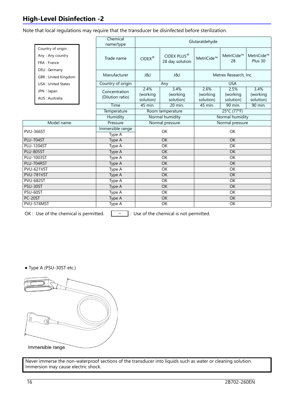### **High-Level Disinfection -2**

Note that local regulations may require that the transducer be disinfected before sterilization.

|                   |                                                       | Chemical<br>name/type             | Glutaraldehyde                |                                            |                               |                               |                               |
|-------------------|-------------------------------------------------------|-----------------------------------|-------------------------------|--------------------------------------------|-------------------------------|-------------------------------|-------------------------------|
|                   | Country of origin:<br>Any: Any country<br>FRA: France | Trade name                        | $CIDEX^®$                     | CIDEX PLUS <sup>®</sup><br>28 day solution | MetriCide™                    | MetriCide™<br>28              | MetriCide™<br>Plus 30         |
|                   | DEU : Germany<br>GBR: United Kingdom                  | Manufacturer                      | ل&ا                           | ا 8لا                                      | Metrex Research, Inc.         |                               |                               |
|                   | <b>USA: United States</b>                             | Country of origin                 |                               | Any                                        | <b>USA</b>                    |                               |                               |
|                   | JPN : Japan<br>AUS: Australia                         | Concentration<br>(Dilution ratio) | 2.4%<br>(working<br>solution) | 3.4%<br>(working<br>solution)              | 2.6%<br>(working<br>solution) | 2.5%<br>(working<br>solution) | 3.4%<br>(working<br>solution) |
|                   |                                                       | Time                              | 45 min.                       | 20 min.                                    | 45 min.                       | 90 min.                       | 90 min.                       |
|                   |                                                       | Temperature                       | Room temperature              |                                            | 25°C (77°F)                   |                               |                               |
|                   |                                                       | Humidity                          | Normal humidity               |                                            | Normal humidity               |                               |                               |
| Model name        |                                                       | Pressure                          | Normal pressure               |                                            | Normal pressure               |                               |                               |
| <b>PVU-366ST</b>  |                                                       | Immersible range<br>Type A        | <b>OK</b>                     |                                            | <b>OK</b>                     |                               |                               |
| <b>PLU-704ST</b>  |                                                       | Type A                            | <b>OK</b>                     |                                            | OK                            |                               |                               |
| <b>PLU-1204ST</b> |                                                       | Type A                            | <b>OK</b>                     |                                            | OK                            |                               |                               |
| <b>PLU-805ST</b>  |                                                       | Type A                            | OK                            |                                            | $\overline{OK}$               |                               |                               |
|                   | <b>PLU-1003ST</b>                                     | Type A                            | $\overline{OK}$               |                                            | $\overline{OK}$               |                               |                               |
|                   | PLU-704RST                                            | Type A                            | <b>OK</b>                     |                                            | OK                            |                               |                               |
| <b>PVU-621VST</b> |                                                       | Type A                            | $\overline{OK}$               |                                            | $\overline{OK}$               |                               |                               |
| PVU-781VST        |                                                       | Type A                            | <b>OK</b>                     |                                            | $\overline{OK}$               |                               |                               |
| <b>PVU-682ST</b>  |                                                       | Type A                            | OK                            |                                            | OK                            |                               |                               |
| PSU-30ST          |                                                       | Type A                            | OK                            |                                            | OK                            |                               |                               |
| PSU-60ST          |                                                       | Type A                            | $\overline{OK}$               |                                            | $\overline{OK}$               |                               |                               |
| PC-20ST           |                                                       | Type A                            | <b>OK</b>                     |                                            | <b>OK</b>                     |                               |                               |
| PVU-574MST        |                                                       | Type A                            | OK                            |                                            | OK                            |                               |                               |

OK : Use of the chemical is permitted.  $\boxed{\phantom{a}^- \phantom{a}}$  : Use of the chemical is not permitted.

● Type A (PSU-30ST etc.)

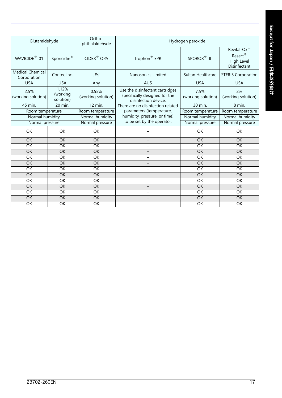| Glutaraldehyde                         |                                | Ortho-<br>phthalaldehyde    | Hydrogen peroxide                                                                        |                            |                                                                  |  |
|----------------------------------------|--------------------------------|-----------------------------|------------------------------------------------------------------------------------------|----------------------------|------------------------------------------------------------------|--|
| WAVICIDE <sup>®</sup> -01              | Sporicidin <sup>®</sup>        | CIDEX <sup>®</sup> OPA      | Trophon <sup>®</sup> EPR                                                                 | SPOROX <sup>®</sup> II     | Revital-Ox™<br>Resert <sup>®</sup><br>High Level<br>Disinfectant |  |
| <b>Medical Chemical</b><br>Corporation | Contec Inc.                    | <b>J&amp;J</b>              | Nanosonics Limited                                                                       | Sultan Healthcare          | <b>STERIS Corporation</b>                                        |  |
| <b>USA</b>                             | <b>USA</b>                     | Any                         | <b>AUS</b>                                                                               | <b>USA</b>                 | <b>USA</b>                                                       |  |
| 2.5%<br>(working solution)             | 1.12%<br>(working<br>solution) | 0.55%<br>(working solution) | Use the disinfectant cartridges<br>specifically designed for the<br>disinfection device. | 7.5%<br>(working solution) | 2%<br>(working solution)                                         |  |
| 45 min.                                | 20 min.                        | 12 min.                     | There are no disinfection related                                                        | 30 min.                    | 8 min.                                                           |  |
| Room temperature                       |                                | Room temperature            | parameters (temperature,                                                                 | Room temperature           | Room temperature                                                 |  |
| Normal humidity                        |                                | Normal humidity             | humidity, pressure, or time)                                                             | Normal humidity            | Normal humidity                                                  |  |
| Normal pressure                        |                                | Normal pressure             | to be set by the operator.                                                               | Normal pressure            | Normal pressure                                                  |  |
| OK                                     | OK                             | OK                          |                                                                                          | <b>OK</b>                  | OK                                                               |  |
| OK                                     | OK                             | OK                          |                                                                                          | OK                         | OK                                                               |  |
| $\overline{OK}$                        | $\overline{OK}$                | $\overline{OK}$             | -                                                                                        | $\overline{OK}$            | OK                                                               |  |
| OK                                     | OK                             | <b>OK</b>                   | $\overline{\phantom{0}}$                                                                 | OK                         | OK                                                               |  |
| $\overline{OK}$                        | $\overline{OK}$                | $\overline{OK}$             | $\overline{\phantom{0}}$                                                                 | $\overline{OK}$            | OK                                                               |  |
| OK                                     | OK                             | <b>OK</b>                   |                                                                                          | OK                         | <b>OK</b>                                                        |  |
| OK                                     | OK                             | OK                          | $\overline{\phantom{0}}$                                                                 | OK                         | OK                                                               |  |
| OK                                     | OK                             | OK                          | $-$                                                                                      | OK                         | OK                                                               |  |
| $\overline{OK}$                        | OK                             | OK                          | -                                                                                        | OK                         | OK                                                               |  |
| OK                                     | <b>OK</b>                      | <b>OK</b>                   | -                                                                                        | OK                         | OK                                                               |  |
| OK                                     | OK                             | OK                          | $\qquad \qquad -$                                                                        | OK                         | OK                                                               |  |
| OK                                     | <b>OK</b>                      | $\overline{OK}$             | $\overline{\phantom{0}}$                                                                 | $\overline{OK}$            | OK                                                               |  |
| OK                                     | OK                             | OK                          |                                                                                          | OK                         | OK                                                               |  |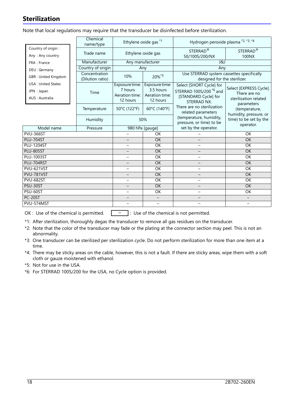### **Sterilization**

Note that local regulations may require that the transducer be disinfected before sterilization.

|                           | Chemical<br>name/type             |                                        | Ethylene oxide gas *1      | Hydrogen peroxide plasma *2, *3, *4                                       |                                                                                                                           |  |
|---------------------------|-----------------------------------|----------------------------------------|----------------------------|---------------------------------------------------------------------------|---------------------------------------------------------------------------------------------------------------------------|--|
| Country of origin:        | Trade name                        | Ethylene oxide gas                     |                            | STERRAD <sup>®</sup>                                                      | STERRAD <sup>®</sup>                                                                                                      |  |
| Any: Any country          |                                   |                                        |                            | 50/100S/200/NX                                                            | 100NX                                                                                                                     |  |
| FRA : France              | Manufacturer                      | Any manufacturer                       |                            | 1&1                                                                       |                                                                                                                           |  |
| DEU : Germany             | Country of origin                 | Any                                    |                            | Any                                                                       |                                                                                                                           |  |
| GBR: United Kingdom       | Concentration<br>(Dilution ratio) | 10%<br>20%*5                           |                            | Use STERRAD system cassettes specifically<br>designed for the sterilizer. |                                                                                                                           |  |
| <b>USA: United States</b> |                                   | Exposure time:                         | Exposure time:             | Select [SHORT Cycle] for<br>STERRAD 100S/200 <sup>*6</sup> and            | Select [EXPRESS Cycle].<br>There are no<br>sterilization related<br>parameters<br>(temperature,<br>humidity, pressure, or |  |
| JPN : Japan               | Time                              | 7 hours                                | 3.5 hours                  |                                                                           |                                                                                                                           |  |
| AUS: Australia            |                                   | Aeration time:<br>12 hours             | Aeration time:<br>12 hours | [STANDARD Cycle] for<br>STERRAD NX.                                       |                                                                                                                           |  |
|                           | Temperature                       | 50°C (122°F)                           | 60°C (140°F)               | There are no sterilization<br>related parameters                          |                                                                                                                           |  |
|                           | Humidity                          | 50%                                    |                            | (temperature, humidity,<br>pressure, or time) to be                       | time) to be set by the<br>operator.                                                                                       |  |
| Model name                | Pressure                          | 980 hPa [gauge]                        |                            | set by the operator.                                                      |                                                                                                                           |  |
| <b>PVU-366ST</b>          |                                   | $\overline{\phantom{0}}$               | OK                         |                                                                           | OK                                                                                                                        |  |
| <b>PLU-704ST</b>          |                                   |                                        | OK                         |                                                                           | OK                                                                                                                        |  |
| <b>PLU-1204ST</b>         | -                                 | OK                                     |                            | OK                                                                        |                                                                                                                           |  |
| <b>PLU-805ST</b>          |                                   |                                        | OK                         |                                                                           | OK                                                                                                                        |  |
| <b>PLU-1003ST</b>         |                                   | $\overline{\phantom{0}}$               | OK                         | $\overline{\phantom{0}}$                                                  | OK                                                                                                                        |  |
| PLU-704RST                |                                   |                                        | OK                         |                                                                           | OK                                                                                                                        |  |
| <b>PVU-621VST</b>         | -                                 | OK                                     | —                          | OK                                                                        |                                                                                                                           |  |
| <b>PVU-781VST</b>         |                                   | OK                                     |                            | OK                                                                        |                                                                                                                           |  |
| <b>PVU-682ST</b>          | $\qquad \qquad -$                 | $\overline{OK}$                        | $\overline{\phantom{0}}$   | $\overline{OK}$                                                           |                                                                                                                           |  |
| PSU-30ST                  |                                   | OK                                     |                            | OK                                                                        |                                                                                                                           |  |
| PSU-60ST                  | $\overline{\phantom{0}}$          | OK                                     |                            | OK                                                                        |                                                                                                                           |  |
| PC-20ST<br>PVU-574MST     | -                                 | $\qquad \qquad -$<br>$\qquad \qquad -$ | $\overline{\phantom{0}}$   | $\qquad \qquad -$                                                         |                                                                                                                           |  |
|                           |                                   |                                        |                            |                                                                           |                                                                                                                           |  |

OK : Use of the chemical is permitted.  $\boxed{\phantom{a}^- \phantom{a}}$  : Use of the chemical is not permitted.

\*1: After sterilization, thoroughly degas the transducer to remove all gas residues on the transducer.

\*2: Note that the color of the transducer may fade or the plating at the connector section may peel. This is not an abnormality.

\*3: One transducer can be sterilized per sterilization cycle. Do not perform sterilization for more than one item at a time.

\*4: There may be sticky areas on the cable, however, this is not a fault. If there are sticky areas, wipe them with a soft cloth or gauze moistened with ethanol.

\*5: Not for use in the USA.

\*6: For STERRAD 100S/200 for the USA, no Cycle option is provided.